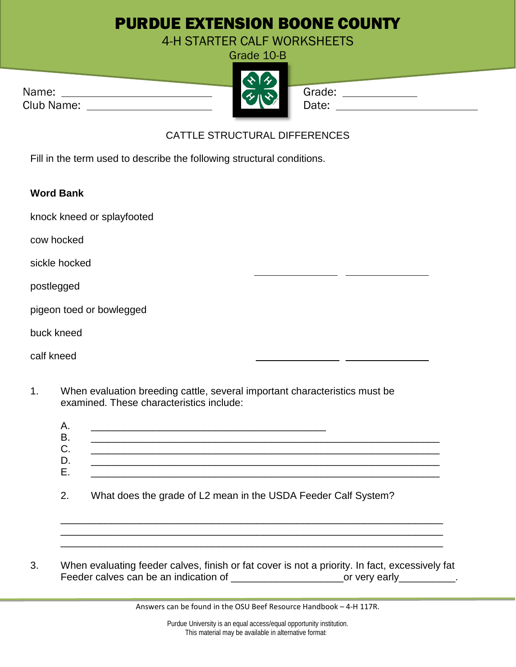## PURDUE EXTENSION BOONE COUNTY

4-H STARTER CALF WORKSHEETS

Grade 10-B

Name: Grade:



Club Name: Date: Date:

## CATTLE STRUCTURAL DIFFERENCES

Fill in the term used to describe the following structural conditions.

## **Word Bank**

knock kneed or splayfooted

cow hocked

sickle hocked

postlegged

| pigeon toed or bowlegged |  |  |  |  |  |
|--------------------------|--|--|--|--|--|
|--------------------------|--|--|--|--|--|

buck kneed

calf kneed

1. When evaluation breeding cattle, several important characteristics must be examined. These characteristics include:

\_\_\_\_\_\_\_\_\_\_\_\_\_\_\_\_\_\_\_\_\_\_\_\_\_\_\_\_\_\_\_\_\_\_\_\_\_\_\_\_\_\_\_\_\_\_\_\_\_\_\_\_\_\_\_\_\_\_\_\_\_\_\_\_\_\_\_\_ \_\_\_\_\_\_\_\_\_\_\_\_\_\_\_\_\_\_\_\_\_\_\_\_\_\_\_\_\_\_\_\_\_\_\_\_\_\_\_\_\_\_\_\_\_\_\_\_\_\_\_\_\_\_\_\_\_\_\_\_\_\_\_\_\_\_\_\_ \_\_\_\_\_\_\_\_\_\_\_\_\_\_\_\_\_\_\_\_\_\_\_\_\_\_\_\_\_\_\_\_\_\_\_\_\_\_\_\_\_\_\_\_\_\_\_\_\_\_\_\_\_\_\_\_\_\_\_\_\_\_\_\_\_\_\_\_

3. When evaluating feeder calves, finish or fat cover is not a priority. In fact, excessively fat Feeder calves can be an indication of \_\_\_\_\_\_\_\_\_\_\_\_\_\_\_\_\_\_\_\_\_\_\_\_\_\_\_or very early\_\_\_\_\_\_\_\_\_\_\_.

Answers can be found in the OSU Beef Resource Handbook – 4-H 117R.